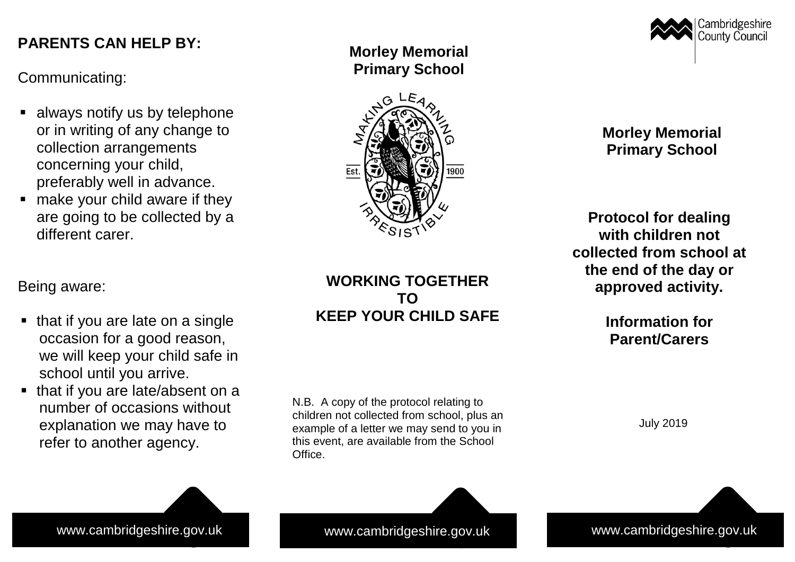# **PARENTS CAN HELP BY: PARENTS CAN HELP BY:**

Communicating: Communicating:

- $\blacksquare$  always notify us by telephone or in writing of any change to collection arrangements concerning your child, preferably well in advance.
- $\blacksquare$  make your child aware if they are going to be collected by a are going to be collected by a different carer. different carer.

Being aware: Being aware:

- $\blacksquare$  that if you are late on a single occasion for a good reason, we will keep your child safe in school until you arrive. school until you arrive.
- $\blacksquare$  that if you are late/absent on a number of occasions without explanation we may have to refer to another agency. refer to another agency.

**Morley Memorial Primary School**



## **WORKING TOGETHER TO KEEP YOUR CHILD SAFE**

N.B. A copy of the protocol relating to children not collected from school, plus an example of a letter we may send to you in this event, are available from the School Office.



**Morley Memorial Primary School**

**Protocol for dealing with children not collected from school at the end of the day or approved activity.**

> **Information for Parent/Carers**

> > July 2019

www.cambridgeshire.gov.uk www.cambridgeshire.gov.uk www.cambridgeshire.gov.uk